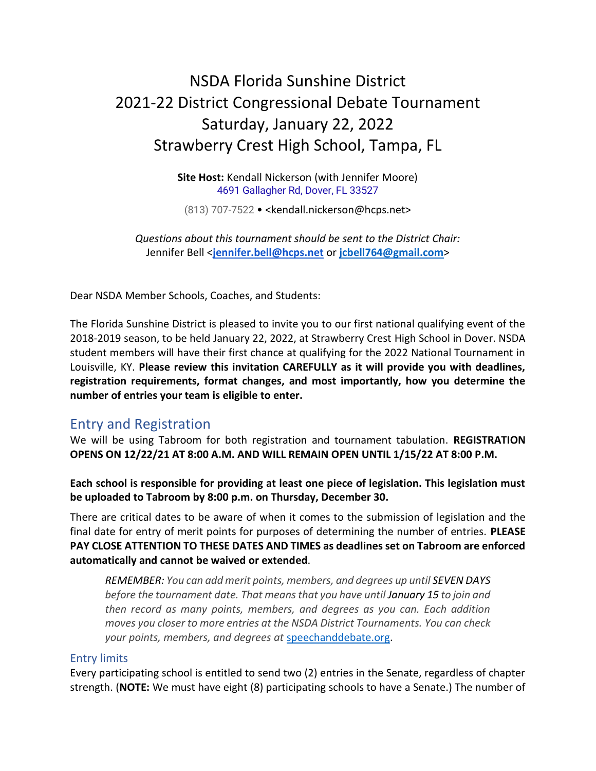# NSDA Florida Sunshine District 2021-22 District Congressional Debate Tournament Saturday, January 22, 2022 Strawberry Crest High School, Tampa, FL

**Site Host:** Kendall Nickerson (with Jennifer Moore) [4691 Gallagher Rd, Dover, FL 33527](https://www.bing.com/maps?cp=28.022907257080078%7e-82.23593139648438&name=Strawberry+Crest+High+School&where1=4691+Gallagher+Rd%2c+Dover%2c+FL+33527&ppois=28.022907257080078_-82.23593139648438_Strawberry+Crest+High+School)

(813) 707-7522 • <kendall.nickerson@hcps.net>

*Questions about this tournament should be sent to the District Chair:* Jennifer Bell <**[jennifer.bell@hcps.net](mailto:jennifer.bell@hcps.net)** or **[jcbell764@gmail.com](mailto:jcbell764@gmail.com)**>

Dear NSDA Member Schools, Coaches, and Students:

The Florida Sunshine District is pleased to invite you to our first national qualifying event of the 2018-2019 season, to be held January 22, 2022, at Strawberry Crest High School in Dover. NSDA student members will have their first chance at qualifying for the 2022 National Tournament in Louisville, KY. **Please review this invitation CAREFULLY as it will provide you with deadlines, registration requirements, format changes, and most importantly, how you determine the number of entries your team is eligible to enter.**

## Entry and Registration

We will be using Tabroom for both registration and tournament tabulation. **REGISTRATION OPENS ON 12/22/21 AT 8:00 A.M. AND WILL REMAIN OPEN UNTIL 1/15/22 AT 8:00 P.M.**

**Each school is responsible for providing at least one piece of legislation. This legislation must be uploaded to Tabroom by 8:00 p.m. on Thursday, December 30.**

There are critical dates to be aware of when it comes to the submission of legislation and the final date for entry of merit points for purposes of determining the number of entries. **PLEASE PAY CLOSE ATTENTION TO THESE DATES AND TIMES as deadlines set on Tabroom are enforced automatically and cannot be waived or extended**.

*REMEMBER: You can add merit points, members, and degrees up until SEVEN DAYS before the tournament date. That means that you have until January 15 to join and then record as many points, members, and degrees as you can. Each addition moves you closer to more entries at the NSDA District Tournaments. You can check your points, members, and degrees at* [speechanddebate.org.](https://www.speechanddebate.org/)

#### Entry limits

Every participating school is entitled to send two (2) entries in the Senate, regardless of chapter strength. (**NOTE:** We must have eight (8) participating schools to have a Senate.) The number of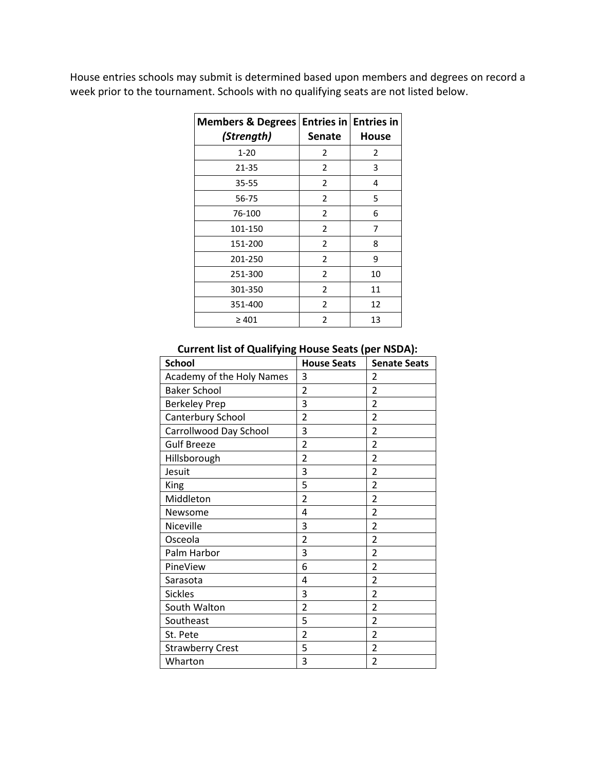House entries schools may submit is determined based upon members and degrees on record a week prior to the tournament. Schools with no qualifying seats are not listed below.

| <b>Members &amp; Degrees</b><br>(Strength) | <b>Entries in Entries in</b><br><b>Senate</b> | House |
|--------------------------------------------|-----------------------------------------------|-------|
| $1 - 20$                                   | 2                                             | 2     |
| 21-35                                      | 2                                             | 3     |
| 35-55                                      | 2                                             | 4     |
| 56-75                                      | 2                                             | 5     |
| 76-100                                     | $\overline{2}$                                | 6     |
| 101-150                                    | 2                                             | 7     |
| 151-200                                    | 2                                             | 8     |
| 201-250                                    | 2                                             | 9     |
| 251-300                                    | 2                                             | 10    |
| 301-350                                    | 2                                             | 11    |
| 351-400                                    | 2                                             | 12    |
| $\geq 401$                                 | 2                                             | 13    |

| <b>School</b>             | <b>House Seats</b> | <b>Senate Seats</b>      |
|---------------------------|--------------------|--------------------------|
| Academy of the Holy Names | 3                  | 2                        |
| <b>Baker School</b>       | $\overline{2}$     | $\overline{2}$           |
| <b>Berkeley Prep</b>      | 3                  | 2                        |
| Canterbury School         | $\overline{2}$     | $\overline{\mathcal{L}}$ |
| Carrollwood Day School    | 3                  | $\overline{2}$           |
| <b>Gulf Breeze</b>        | $\overline{2}$     | $\overline{2}$           |
| Hillsborough              | $\overline{2}$     | $\mathfrak{p}$           |
| Jesuit                    | 3                  | $\overline{2}$           |
| King                      | 5                  | 2                        |
| Middleton                 | $\overline{2}$     | $\overline{2}$           |
| Newsome                   | 4                  | $\overline{2}$           |
| Niceville                 | 3                  | $\overline{2}$           |
| Osceola                   | $\overline{2}$     | $\overline{\mathcal{L}}$ |
| Palm Harbor               | 3                  | $\overline{2}$           |
| PineView                  | 6                  | $\overline{2}$           |
| Sarasota                  | 4                  | $\overline{2}$           |
| <b>Sickles</b>            | 3                  | $\overline{2}$           |
| South Walton              | $\overline{2}$     | $\overline{2}$           |
| Southeast                 | 5                  | 2                        |
| St. Pete                  | $\overline{2}$     | 2                        |
| <b>Strawberry Crest</b>   | 5                  | $\overline{2}$           |
| Wharton                   | 3                  | $\overline{2}$           |

#### **Current list of Qualifying House Seats (per NSDA):**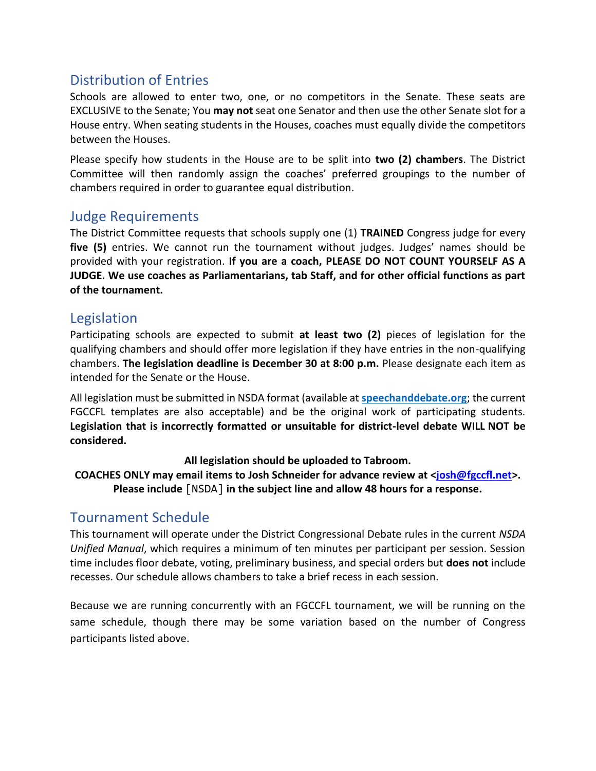# Distribution of Entries

Schools are allowed to enter two, one, or no competitors in the Senate. These seats are EXCLUSIVE to the Senate; You **may not** seat one Senator and then use the other Senate slot for a House entry. When seating students in the Houses, coaches must equally divide the competitors between the Houses.

Please specify how students in the House are to be split into **two (2) chambers**. The District Committee will then randomly assign the coaches' preferred groupings to the number of chambers required in order to guarantee equal distribution.

## Judge Requirements

The District Committee requests that schools supply one (1) **TRAINED** Congress judge for every **five (5)** entries. We cannot run the tournament without judges. Judges' names should be provided with your registration. **If you are a coach, PLEASE DO NOT COUNT YOURSELF AS A JUDGE. We use coaches as Parliamentarians, tab Staff, and for other official functions as part of the tournament.**

## Legislation

Participating schools are expected to submit **at least two (2)** pieces of legislation for the qualifying chambers and should offer more legislation if they have entries in the non-qualifying chambers. **The legislation deadline is December 30 at 8:00 p.m.** Please designate each item as intended for the Senate or the House.

All legislation must be submitted in NSDA format (available at **[speechanddebate.org](https://www.speechanddebate.org/)**; the current FGCCFL templates are also acceptable) and be the original work of participating students. **Legislation that is incorrectly formatted or unsuitable for district-level debate WILL NOT be considered.**

#### **All legislation should be uploaded to Tabroom.**

**COACHES ONLY may email items to Josh Schneider for advance review at [<josh@fgccfl.net>](mailto:josh@fgccfl.net). Please include** [NSDA] **in the subject line and allow 48 hours for a response.**

# Tournament Schedule

This tournament will operate under the District Congressional Debate rules in the current *NSDA Unified Manual*, which requires a minimum of ten minutes per participant per session. Session time includes floor debate, voting, preliminary business, and special orders but **does not** include recesses. Our schedule allows chambers to take a brief recess in each session.

Because we are running concurrently with an FGCCFL tournament, we will be running on the same schedule, though there may be some variation based on the number of Congress participants listed above.